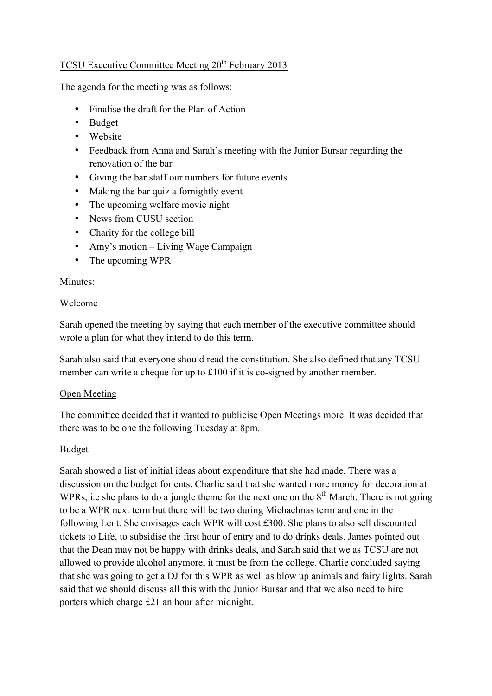# TCSU Executive Committee Meeting 20<sup>th</sup> February 2013

The agenda for the meeting was as follows:

- Finalise the draft for the Plan of Action
- Budget
- Website
- Feedback from Anna and Sarah's meeting with the Junior Bursar regarding the renovation of the bar
- Giving the bar staff our numbers for future events
- Making the bar quiz a fornightly event
- The upcoming welfare movie night
- News from CUSU section
- Charity for the college bill
- Amy's motion Living Wage Campaign
- The upcoming WPR

## Minutes:

## Welcome

Sarah opened the meeting by saying that each member of the executive committee should wrote a plan for what they intend to do this term.

Sarah also said that everyone should read the constitution. She also defined that any TCSU member can write a cheque for up to £100 if it is co-signed by another member.

#### Open Meeting

The committee decided that it wanted to publicise Open Meetings more. It was decided that there was to be one the following Tuesday at 8pm.

## Budget

Sarah showed a list of initial ideas about expenditure that she had made. There was a discussion on the budget for ents. Charlie said that she wanted more money for decoration at WPRs, i.e she plans to do a jungle theme for the next one on the  $8<sup>th</sup>$  March. There is not going to be a WPR next term but there will be two during Michaelmas term and one in the following Lent. She envisages each WPR will cost £300. She plans to also sell discounted tickets to Life, to subsidise the first hour of entry and to do drinks deals. James pointed out that the Dean may not be happy with drinks deals, and Sarah said that we as TCSU are not allowed to provide alcohol anymore, it must be from the college. Charlie concluded saying that she was going to get a DJ for this WPR as well as blow up animals and fairy lights. Sarah said that we should discuss all this with the Junior Bursar and that we also need to hire porters which charge £21 an hour after midnight.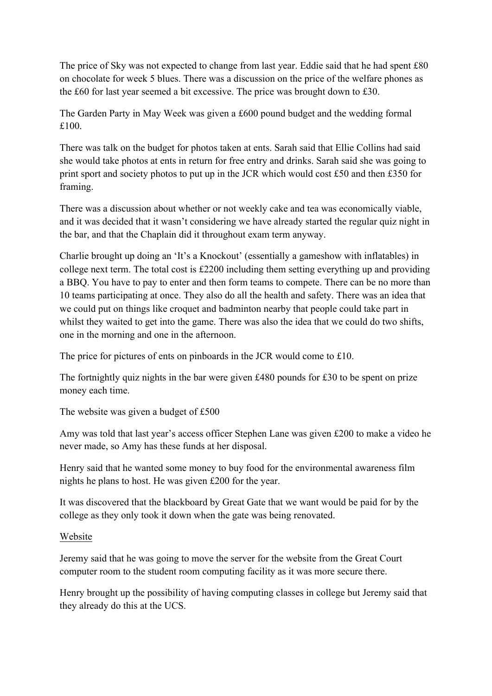The price of Sky was not expected to change from last year. Eddie said that he had spent £80 on chocolate for week 5 blues. There was a discussion on the price of the welfare phones as the £60 for last year seemed a bit excessive. The price was brought down to £30.

The Garden Party in May Week was given a £600 pound budget and the wedding formal £100.

There was talk on the budget for photos taken at ents. Sarah said that Ellie Collins had said she would take photos at ents in return for free entry and drinks. Sarah said she was going to print sport and society photos to put up in the JCR which would cost £50 and then £350 for framing.

There was a discussion about whether or not weekly cake and tea was economically viable, and it was decided that it wasn't considering we have already started the regular quiz night in the bar, and that the Chaplain did it throughout exam term anyway.

Charlie brought up doing an 'It's a Knockout' (essentially a gameshow with inflatables) in college next term. The total cost is £2200 including them setting everything up and providing a BBQ. You have to pay to enter and then form teams to compete. There can be no more than 10 teams participating at once. They also do all the health and safety. There was an idea that we could put on things like croquet and badminton nearby that people could take part in whilst they waited to get into the game. There was also the idea that we could do two shifts, one in the morning and one in the afternoon.

The price for pictures of ents on pinboards in the JCR would come to £10.

The fortnightly quiz nights in the bar were given £480 pounds for £30 to be spent on prize money each time.

The website was given a budget of £500

Amy was told that last year's access officer Stephen Lane was given £200 to make a video he never made, so Amy has these funds at her disposal.

Henry said that he wanted some money to buy food for the environmental awareness film nights he plans to host. He was given £200 for the year.

It was discovered that the blackboard by Great Gate that we want would be paid for by the college as they only took it down when the gate was being renovated.

#### Website

Jeremy said that he was going to move the server for the website from the Great Court computer room to the student room computing facility as it was more secure there.

Henry brought up the possibility of having computing classes in college but Jeremy said that they already do this at the UCS.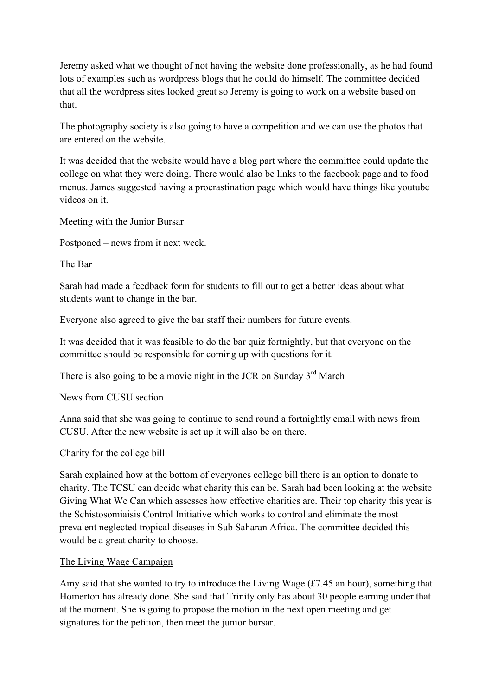Jeremy asked what we thought of not having the website done professionally, as he had found lots of examples such as wordpress blogs that he could do himself. The committee decided that all the wordpress sites looked great so Jeremy is going to work on a website based on that.

The photography society is also going to have a competition and we can use the photos that are entered on the website.

It was decided that the website would have a blog part where the committee could update the college on what they were doing. There would also be links to the facebook page and to food menus. James suggested having a procrastination page which would have things like youtube videos on it.

## Meeting with the Junior Bursar

Postponed – news from it next week.

## The Bar

Sarah had made a feedback form for students to fill out to get a better ideas about what students want to change in the bar.

Everyone also agreed to give the bar staff their numbers for future events.

It was decided that it was feasible to do the bar quiz fortnightly, but that everyone on the committee should be responsible for coming up with questions for it.

There is also going to be a movie night in the JCR on Sunday  $3<sup>rd</sup>$  March

#### News from CUSU section

Anna said that she was going to continue to send round a fortnightly email with news from CUSU. After the new website is set up it will also be on there.

#### Charity for the college bill

Sarah explained how at the bottom of everyones college bill there is an option to donate to charity. The TCSU can decide what charity this can be. Sarah had been looking at the website Giving What We Can which assesses how effective charities are. Their top charity this year is the Schistosomiaisis Control Initiative which works to control and eliminate the most prevalent neglected tropical diseases in Sub Saharan Africa. The committee decided this would be a great charity to choose.

#### The Living Wage Campaign

Amy said that she wanted to try to introduce the Living Wage (£7.45 an hour), something that Homerton has already done. She said that Trinity only has about 30 people earning under that at the moment. She is going to propose the motion in the next open meeting and get signatures for the petition, then meet the junior bursar.